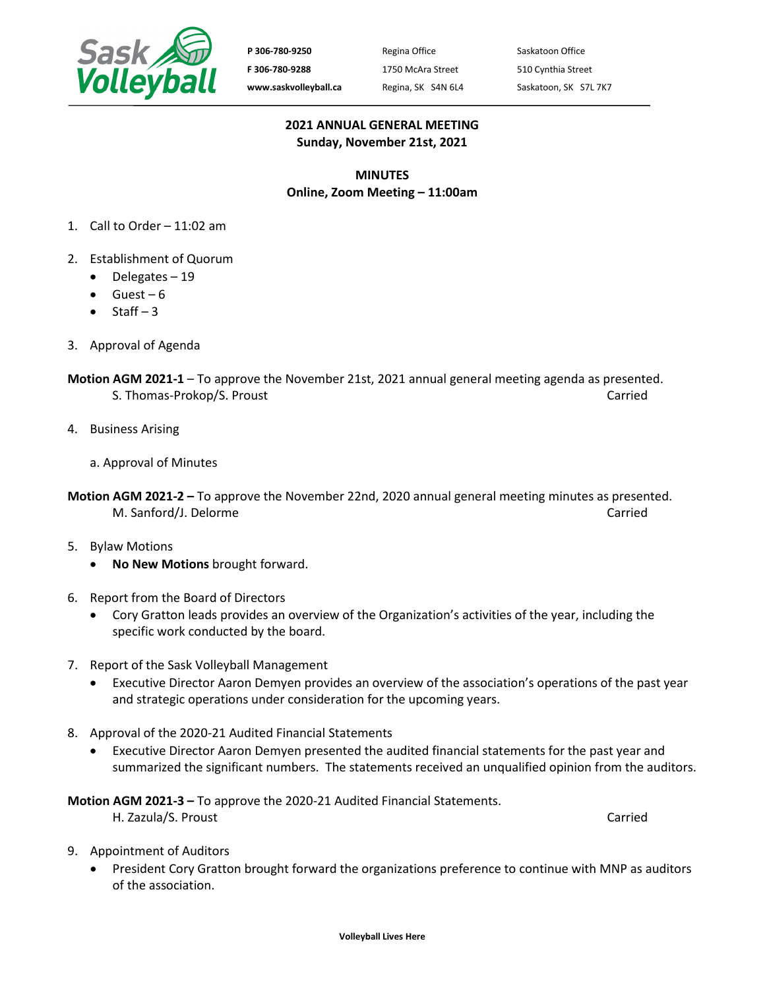

P 306-780-9250 Regina Office Saskatoon Office **F 306-780-9288** 1750 McAra Street 510 Cynthia Street www.saskvolleyball.ca Regina, SK S4N 6L4 Saskatoon, SK S7L 7K7

## **2021 ANNUAL GENERAL MEETING Sunday, November 21st, 2021**

## **MINUTES Online, Zoom Meeting – 11:00am**

- 1. Call to Order 11:02 am
- 2. Establishment of Quorum
	- Delegates 19
	- $\bullet$  Guest 6
	- Staff  $-3$
- 3. Approval of Agenda
- **Motion AGM 2021-1**  To approve the November 21st, 2021 annual general meeting agenda as presented. S. Thomas-Prokop/S. Proust Carried Carried Carried Carried Carried Carried Carried Carried Carried Carried Carried Carried Carried Carried Carried Carried Carried Carried Carried Carried Carried Carried Carried Carried Car
- 4. Business Arising
	- a. Approval of Minutes
- **Motion AGM 2021-2 –** To approve the November 22nd, 2020 annual general meeting minutes as presented. M. Sanford/J. Delorme Carried Carried Carried Carried Carried Carried Carried Carried
- 5. Bylaw Motions
	- **No New Motions** brought forward.
- 6. Report from the Board of Directors
	- Cory Gratton leads provides an overview of the Organization's activities of the year, including the specific work conducted by the board.
- 7. Report of the Sask Volleyball Management
	- Executive Director Aaron Demyen provides an overview of the association's operations of the past year and strategic operations under consideration for the upcoming years.
- 8. Approval of the 2020-21 Audited Financial Statements
	- Executive Director Aaron Demyen presented the audited financial statements for the past year and summarized the significant numbers. The statements received an unqualified opinion from the auditors.

**Motion AGM 2021-3 –** To approve the 2020-21 Audited Financial Statements.

- H. Zazula/S. Proust Carried
- 

- 9. Appointment of Auditors
	- President Cory Gratton brought forward the organizations preference to continue with MNP as auditors of the association.